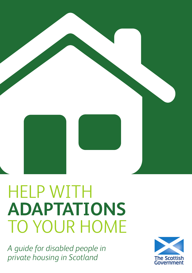

# HELP WITH **ADAPTATIONS** TO YOUR HOME

*A guide for disabled people in private housing in Scotland*

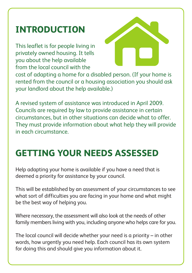# **INTRODUCTION**

This leaflet is for people living in privately owned housing. It tells you about the help available from the local council with the



cost of adapting a home for a disabled person. (If your home is rented from the council or a housing association you should ask your landlord about the help available.)

A revised system of assistance was introduced in April 2009. Councils are required by law to provide assistance in certain circumstances, but in other situations can decide what to offer. They must provide information about what help they will provide in each circumstance.

# **GETTING YOUR NEEDS ASSESSED**

Help adapting your home is available if you have a need that is deemed a priority for assistance by your council.

This will be established by an assessment of your circumstances to see what sort of difficulties you are facing in your home and what might be the best way of helping you.

Where necessary, the assessment will also look at the needs of other family members living with you, including anyone who helps care for you.

The local council will decide whether your need is a priority – in other words, how urgently you need help. Each council has its own system for doing this and should give you information about it.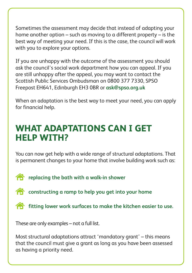Sometimes the assessment may decide that instead of adapting your home another option – such as moving to a different property – is the best way of meeting your need. If this is the case, the council will work with you to explore your options.

If you are unhappy with the outcome of the assessment you should ask the council's social work department how you can appeal. If you are still unhappy after the appeal, you may want to contact the Scottish Public Services Ombudsman on 0800 377 7330, SPSO Freepost EH641, Edinburgh EH3 0BR or **ask@spso.org.uk**

When an adaptation is the best way to meet your need, you can apply for financial help.

#### **WHAT ADAPTATIONS CAN I GET HELP WITH?**

You can now get help with a wide range of structural adaptations. That is permanent changes to your home that involve building work such as:

**replacing the bath with a walk-in shower** 

- **constructing a ramp to help you get into your home**
- **fitting lower work surfaces to make the kitchen easier to use.**

These are only examples – not a full list.

Most structural adaptations attract 'mandatory grant' – this means that the council must give a grant as long as you have been assessed as having a priority need.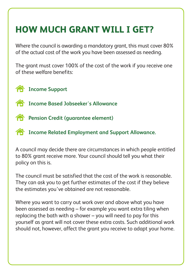# **HOW MUCH GRANT WILL I GET?**

Where the council is awarding a mandatory grant, this must cover 80% of the actual cost of the work you have been assessed as needing.

The grant must cover 100% of the cost of the work if you receive one of these welfare benefits:

**Income Support** 

- **Income Based Jobseeker's Allowance**
- **Pension Credit (quarantee element)**

**Income Related Employment and Support Allowance.**

A council may decide there are circumstances in which people entitled to 80% grant receive more. Your council should tell you what their policy on this is.

The council must be satisfied that the cost of the work is reasonable. They can ask you to get further estimates of the cost if they believe the estimates you've obtained are not reasonable.

Where you want to carry out work over and above what you have been assessed as needing – for example you want extra tiling when replacing the bath with a shower – you will need to pay for this yourself as grant will not cover these extra costs. Such additional work should not, however, affect the grant you receive to adapt your home.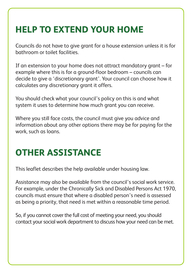# **HELP TO EXTEND YOUR HOME**

Councils do not have to give grant for a house extension unless it is for bathroom or toilet facilities.

If an extension to your home does not attract mandatory grant – for example where this is for a ground-floor bedroom – councils can decide to give a 'discretionary grant'. Your council can choose how it calculates any discretionary grant it offers.

You should check what your council's policy on this is and what system it uses to determine how much grant you can receive.

Where you still face costs, the council must give you advice and information about any other options there may be for paying for the work, such as loans.

#### **OTHER ASSISTANCE**

This leaflet describes the help available under housing law.

Assistance may also be available from the council's social work service. For example, under the Chronically Sick and Disabled Persons Act 1970, councils must ensure that where a disabled person's need is assessed as being a priority, that need is met within a reasonable time period.

So, if you cannot cover the full cost of meeting your need, you should contact your social work department to discuss how your need can be met.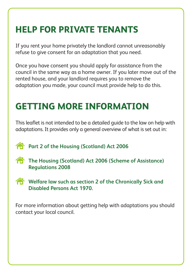# **HELP FOR PRIVATE TENANTS**

If you rent your home privately the landlord cannot unreasonably refuse to give consent for an adaptation that you need.

Once you have consent you should apply for assistance from the council in the same way as a home owner. If you later move out of the rented house, and your landlord requires you to remove the adaptation you made, your council must provide help to do this.

#### **GETTING MORE INFORMATION**

This leaflet is not intended to be a detailed guide to the law on help with adaptations. It provides only a general overview of what is set out in:

**Part 2 of the Housing (Scotland) Act 2006** 

- **The Housing (Scotland) Act 2006 (Scheme of Assistance) Regulations 2008**
- **Welfare law such as section 2 of the Chronically Sick and Disabled Persons Act 1970.**

For more information about getting help with adaptations you should contact your local council.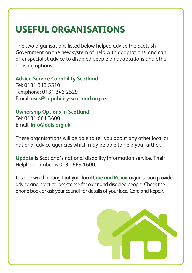#### **USEFUL ORGANISATIONS**

The two organisations listed below helped advise the Scottish Government on the new system of help with adaptations, and can offer specialist advice to disabled people on adaptations and other housing options:

**Advice Service Capability Scotland** Tel: 0131 313 5510 Textphone: 0131 346 2529 Email: **ascs@capability-scotland.org.uk**

**Ownership Options in Scotland** Tel: 0131 661 3400 Email: **info@oois.org.uk**

These organisations will be able to tell you about any other local or national advice agencies which may be able to help you further.

**Update** is Scotland's national disability information service. Their Helpline number is 0131 669 1600.

It's also worth noting that your local **Care and Repair** organisation provides advice and practical assistance for older and disabled people. Check the phone book or ask your council for details of your local Care and Repair.